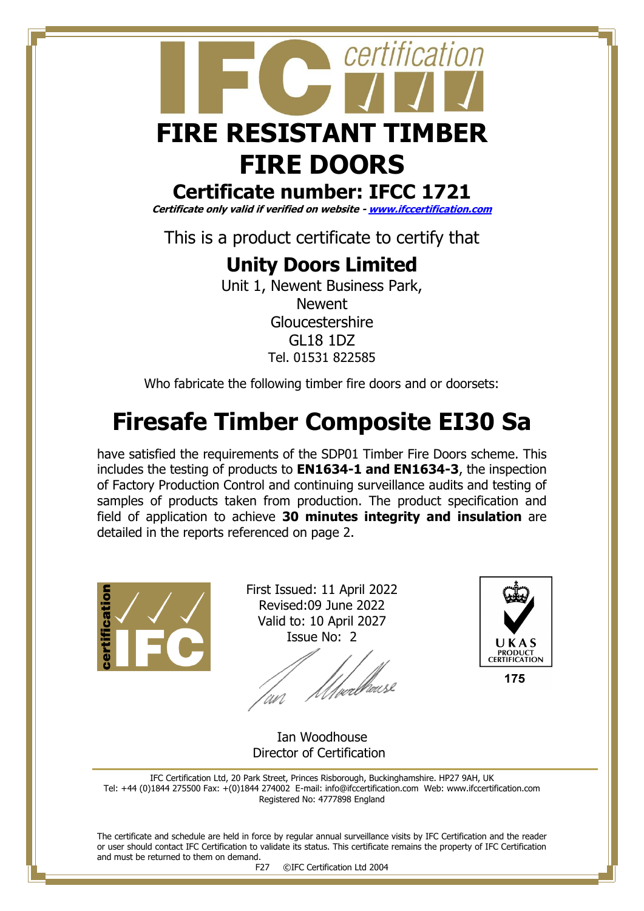

## **Certificate number: IFCC 1721**

**Certificate only valid if verified on website - [www.ifccertification.com](http://www.ifccertification.com/)**

This is a product certificate to certify that

## **Unity Doors Limited**

Unit 1, Newent Business Park, Newent Gloucestershire GL18 1DZ Tel. 01531 822585

Who fabricate the following timber fire doors and or doorsets:

# **Firesafe Timber Composite EI30 Sa**

have satisfied the requirements of the SDP01 Timber Fire Doors scheme. This includes the testing of products to **EN1634-1 and EN1634-3**, the inspection of Factory Production Control and continuing surveillance audits and testing of samples of products taken from production. The product specification and field of application to achieve **30 minutes integrity and insulation** are detailed in the reports referenced on page 2.



First Issued: 11 April 2022 Revised:09 June 2022 Valid to: 10 April 2027 Issue No: 2

*Ulve*rblouse



175

 Ian Woodhouse Director of Certification

IFC Certification Ltd, 20 Park Street, Princes Risborough, Buckinghamshire. HP27 9AH, UK Tel: +44 (0)1844 275500 Fax: +(0)1844 274002 E-mail[: info@ifccertification.com](mailto:info@ifccertification.com) Web: [www.ifccertification.com](http://www.ifccertification.com/) Registered No: 4777898 England

The certificate and schedule are held in force by regular annual surveillance visits by IFC Certification and the reader or user should contact IFC Certification to validate its status. This certificate remains the property of IFC Certification and must be returned to them on demand.<br>F27

©IFC Certification Ltd 2004